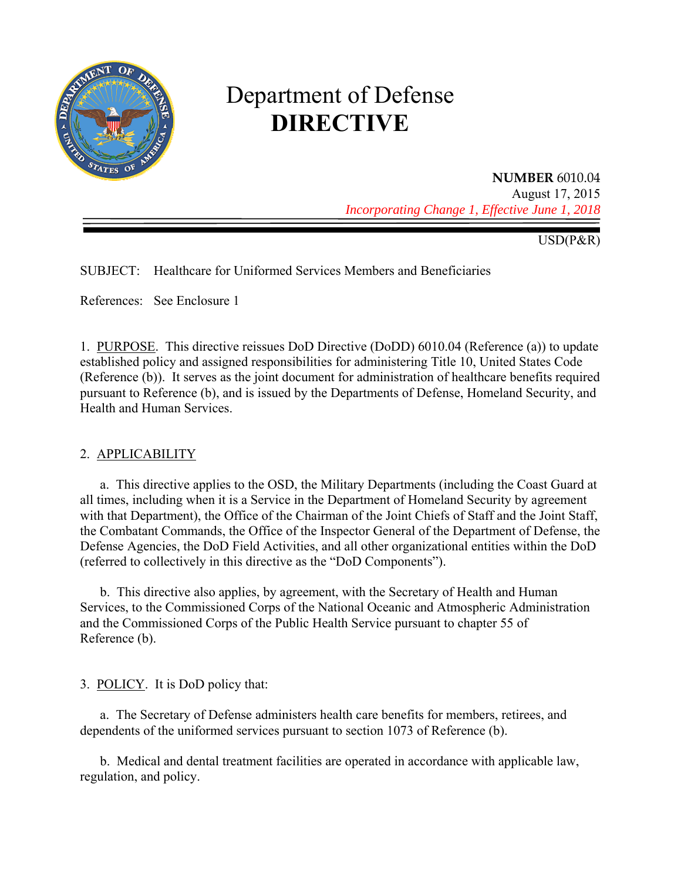

# Department of Defense **DIRECTIVE**

# **NUMBER** 6010.04 August 17, 2015

*Incorporating Change 1, Effective June 1, 2018* 

USD(P&R)

SUBJECT: Healthcare for Uniformed Services Members and Beneficiaries

References: See Enclosure 1

1. PURPOSE. This directive reissues DoD Directive (DoDD) 6010.04 (Reference (a)) to update established policy and assigned responsibilities for administering Title 10, United States Code (Reference (b)). It serves as the joint document for administration of healthcare benefits required pursuant to Reference (b), and is issued by the Departments of Defense, Homeland Security, and Health and Human Services.

#### 2. APPLICABILITY

a. This directive applies to the OSD, the Military Departments (including the Coast Guard at all times, including when it is a Service in the Department of Homeland Security by agreement with that Department), the Office of the Chairman of the Joint Chiefs of Staff and the Joint Staff, the Combatant Commands, the Office of the Inspector General of the Department of Defense, the Defense Agencies, the DoD Field Activities, and all other organizational entities within the DoD (referred to collectively in this directive as the "DoD Components").

b. This directive also applies, by agreement, with the Secretary of Health and Human Services, to the Commissioned Corps of the National Oceanic and Atmospheric Administration and the Commissioned Corps of the Public Health Service pursuant to chapter 55 of Reference (b).

3. POLICY. It is DoD policy that:

a. The Secretary of Defense administers health care benefits for members, retirees, and dependents of the uniformed services pursuant to section 1073 of Reference (b).

b. Medical and dental treatment facilities are operated in accordance with applicable law, regulation, and policy.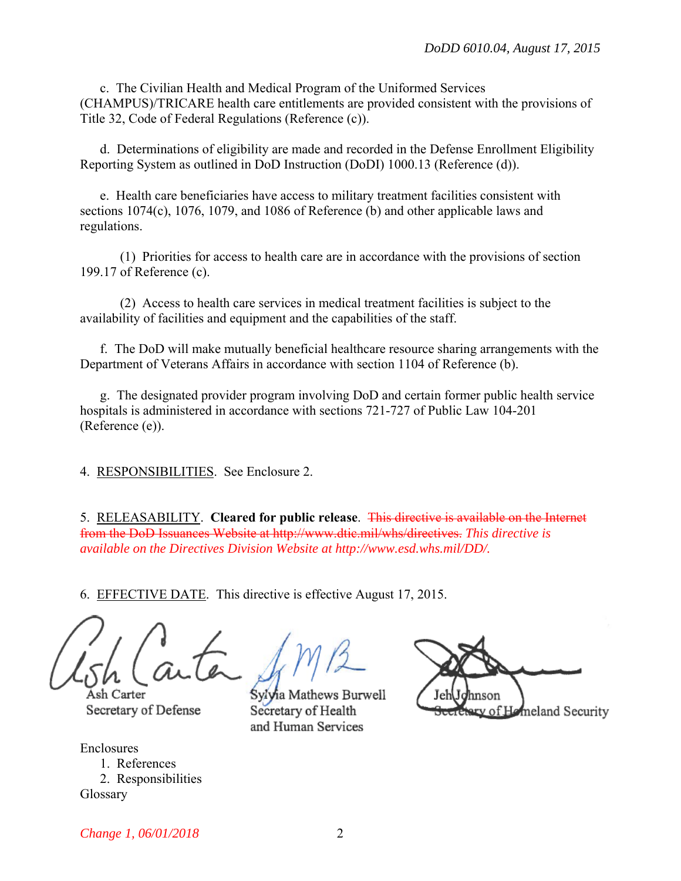c. The Civilian Health and Medical Program of the Uniformed Services (CHAMPUS)/TRICARE health care entitlements are provided consistent with the provisions of Title 32, Code of Federal Regulations (Reference (c)).

d. Determinations of eligibility are made and recorded in the Defense Enrollment Eligibility Reporting System as outlined in DoD Instruction (DoDI) 1000.13 (Reference (d)).

e. Health care beneficiaries have access to military treatment facilities consistent with sections 1074(c), 1076, 1079, and 1086 of Reference (b) and other applicable laws and regulations.

 (1) Priorities for access to health care are in accordance with the provisions of section 199.17 of Reference (c).

 (2) Access to health care services in medical treatment facilities is subject to the availability of facilities and equipment and the capabilities of the staff.

f. The DoD will make mutually beneficial healthcare resource sharing arrangements with the Department of Veterans Affairs in accordance with section 1104 of Reference (b).

g. The designated provider program involving DoD and certain former public health service hospitals is administered in accordance with sections 721-727 of Public Law 104-201 (Reference (e)).

4. RESPONSIBILITIES. See Enclosure 2.

5. RELEASABILITY. **Cleared for public release**. This directive is available on the Internet from the DoD Issuances Website at http://www.dtic.mil/whs/directives. *This directive is available on the Directives Division Website at http://www.esd.whs.mil/DD/.* 

6. EFFECTIVE DATE. This directive is effective August 17, 2015.

Carter Secretary of Defense

Enclosures 1. References 2. Responsibilities Glossary

Sylvia Mathews Burwell

Secretary of Health

and Human Services

v of Homeland Security

*Change 1, 06/01/2018* 2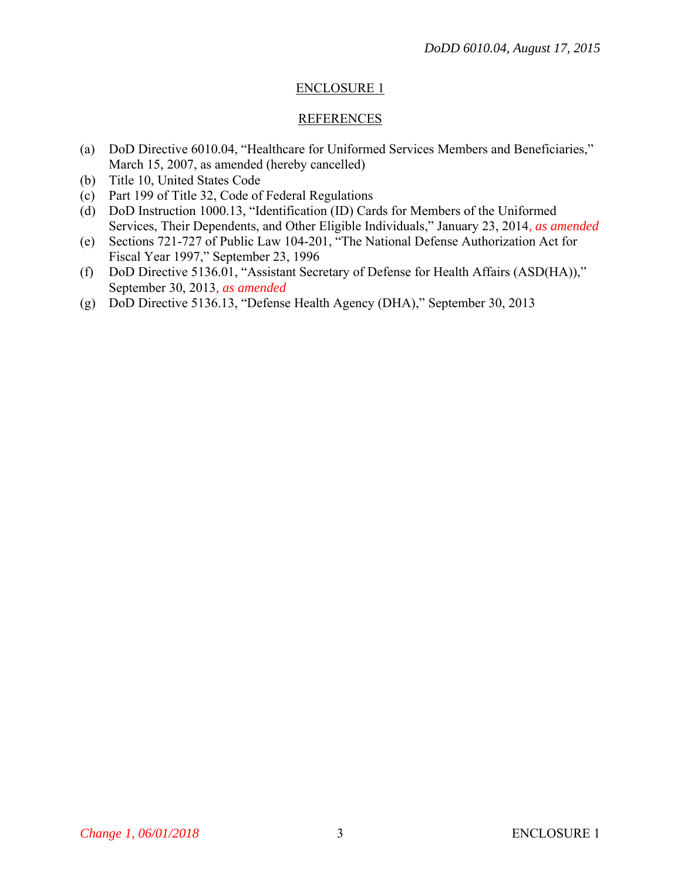## ENCLOSURE 1

#### REFERENCES

- (a) DoD Directive 6010.04, "Healthcare for Uniformed Services Members and Beneficiaries," March 15, 2007, as amended (hereby cancelled)
- (b) Title 10, United States Code
- (c) Part 199 of Title 32, Code of Federal Regulations
- (d) DoD Instruction 1000.13, "Identification (ID) Cards for Members of the Uniformed Services, Their Dependents, and Other Eligible Individuals," January 23, 2014*, as amended*
- (e) Sections 721-727 of Public Law 104-201, "The National Defense Authorization Act for Fiscal Year 1997," September 23, 1996
- (f) DoD Directive 5136.01, "Assistant Secretary of Defense for Health Affairs (ASD(HA))," September 30, 2013*, as amended*
- (g) DoD Directive 5136.13, "Defense Health Agency (DHA)," September 30, 2013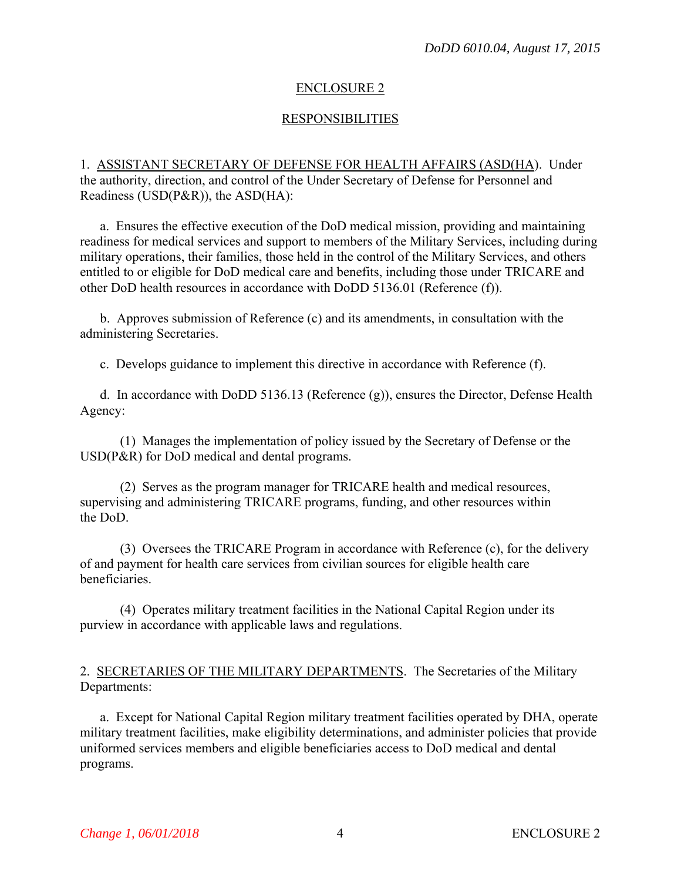#### ENCLOSURE 2

### RESPONSIBILITIES

#### 1. ASSISTANT SECRETARY OF DEFENSE FOR HEALTH AFFAIRS (ASD(HA). Under the authority, direction, and control of the Under Secretary of Defense for Personnel and Readiness (USD(P&R)), the ASD(HA):

a. Ensures the effective execution of the DoD medical mission, providing and maintaining readiness for medical services and support to members of the Military Services, including during military operations, their families, those held in the control of the Military Services, and others entitled to or eligible for DoD medical care and benefits, including those under TRICARE and other DoD health resources in accordance with DoDD 5136.01 (Reference (f)).

b. Approves submission of Reference (c) and its amendments, in consultation with the administering Secretaries.

c. Develops guidance to implement this directive in accordance with Reference (f).

d. In accordance with DoDD 5136.13 (Reference (g)), ensures the Director, Defense Health Agency:

(1) Manages the implementation of policy issued by the Secretary of Defense or the USD(P&R) for DoD medical and dental programs.

(2) Serves as the program manager for TRICARE health and medical resources, supervising and administering TRICARE programs, funding, and other resources within the DoD.

(3) Oversees the TRICARE Program in accordance with Reference (c), for the delivery of and payment for health care services from civilian sources for eligible health care beneficiaries.

(4) Operates military treatment facilities in the National Capital Region under its purview in accordance with applicable laws and regulations.

#### 2. SECRETARIES OF THE MILITARY DEPARTMENTS. The Secretaries of the Military Departments:

a. Except for National Capital Region military treatment facilities operated by DHA, operate military treatment facilities, make eligibility determinations, and administer policies that provide uniformed services members and eligible beneficiaries access to DoD medical and dental programs.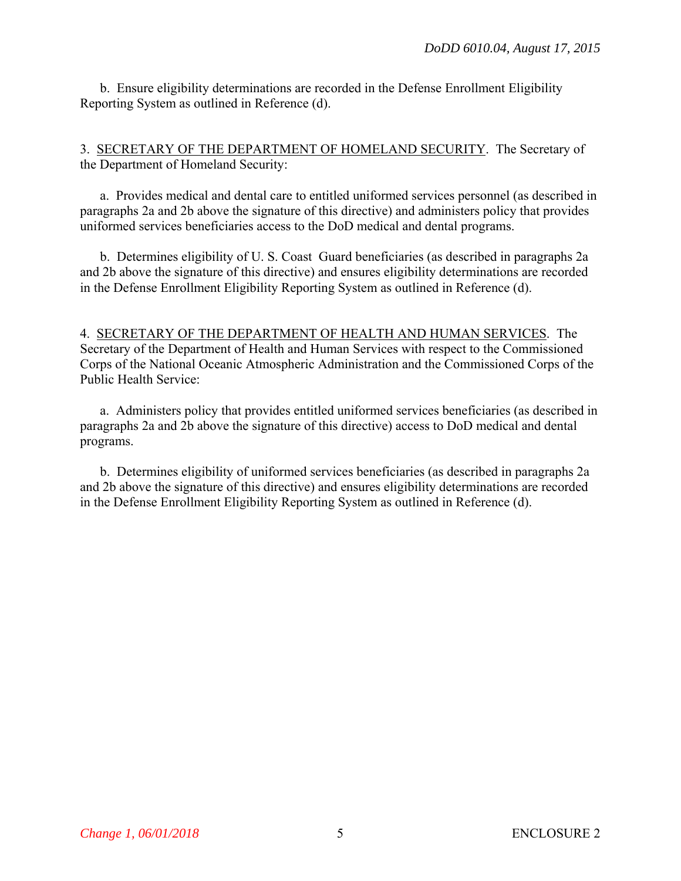b. Ensure eligibility determinations are recorded in the Defense Enrollment Eligibility Reporting System as outlined in Reference (d).

3. SECRETARY OF THE DEPARTMENT OF HOMELAND SECURITY. The Secretary of the Department of Homeland Security:

a. Provides medical and dental care to entitled uniformed services personnel (as described in paragraphs 2a and 2b above the signature of this directive) and administers policy that provides uniformed services beneficiaries access to the DoD medical and dental programs.

b. Determines eligibility of U. S. Coast Guard beneficiaries (as described in paragraphs 2a and 2b above the signature of this directive) and ensures eligibility determinations are recorded in the Defense Enrollment Eligibility Reporting System as outlined in Reference (d).

#### 4. SECRETARY OF THE DEPARTMENT OF HEALTH AND HUMAN SERVICES. The Secretary of the Department of Health and Human Services with respect to the Commissioned Corps of the National Oceanic Atmospheric Administration and the Commissioned Corps of the Public Health Service:

a. Administers policy that provides entitled uniformed services beneficiaries (as described in paragraphs 2a and 2b above the signature of this directive) access to DoD medical and dental programs.

b. Determines eligibility of uniformed services beneficiaries (as described in paragraphs 2a and 2b above the signature of this directive) and ensures eligibility determinations are recorded in the Defense Enrollment Eligibility Reporting System as outlined in Reference (d).